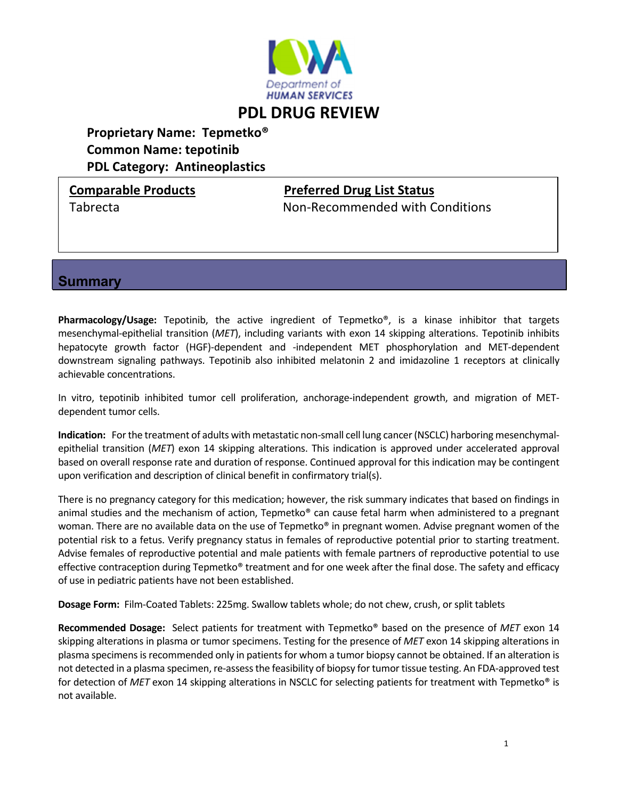

# **Proprietary Name: Tepmetko® Common Name: tepotinib PDL Category: Antineoplastics**

### **Comparable Products Preferred Drug List Status**

Tabrecta Non‐Recommended with Conditions

**Summary** 

**Pharmacology/Usage:** Tepotinib, the active ingredient of Tepmetko®, is a kinase inhibitor that targets mesenchymal‐epithelial transition (*MET*), including variants with exon 14 skipping alterations. Tepotinib inhibits hepatocyte growth factor (HGF)-dependent and -independent MET phosphorylation and MET-dependent downstream signaling pathways. Tepotinib also inhibited melatonin 2 and imidazoline 1 receptors at clinically achievable concentrations.

In vitro, tepotinib inhibited tumor cell proliferation, anchorage-independent growth, and migration of METdependent tumor cells.

**Indication:** For the treatment of adults with metastatic non-small cell lung cancer (NSCLC) harboring mesenchymalepithelial transition (*MET*) exon 14 skipping alterations. This indication is approved under accelerated approval based on overall response rate and duration of response. Continued approval for this indication may be contingent upon verification and description of clinical benefit in confirmatory trial(s).

There is no pregnancy category for this medication; however, the risk summary indicates that based on findings in animal studies and the mechanism of action, Tepmetko<sup>®</sup> can cause fetal harm when administered to a pregnant woman. There are no available data on the use of Tepmetko® in pregnant women. Advise pregnant women of the potential risk to a fetus. Verify pregnancy status in females of reproductive potential prior to starting treatment. Advise females of reproductive potential and male patients with female partners of reproductive potential to use effective contraception during Tepmetko® treatment and for one week after the final dose. The safety and efficacy of use in pediatric patients have not been established.

**Dosage Form:** Film‐Coated Tablets: 225mg. Swallow tablets whole; do not chew, crush, or split tablets

**Recommended Dosage:** Select patients for treatment with Tepmetko® based on the presence of *MET* exon 14 skipping alterations in plasma or tumor specimens. Testing for the presence of *MET* exon 14 skipping alterations in plasma specimens is recommended only in patients for whom a tumor biopsy cannot be obtained. If an alteration is not detected in a plasma specimen, re‐assessthe feasibility of biopsy for tumor tissue testing. An FDA‐approved test for detection of *MET* exon 14 skipping alterations in NSCLC for selecting patients for treatment with Tepmetko® is not available.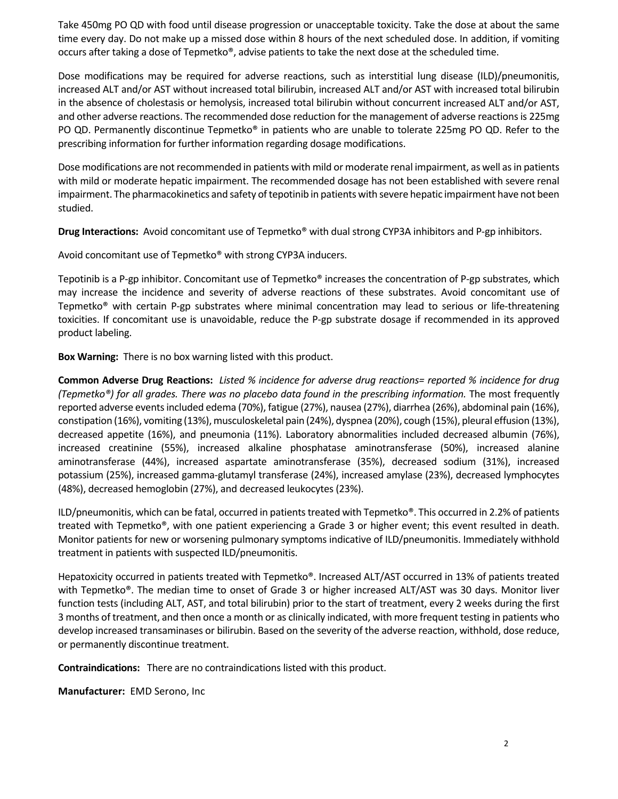Take 450mg PO QD with food until disease progression or unacceptable toxicity. Take the dose at about the same time every day. Do not make up a missed dose within 8 hours of the next scheduled dose. In addition, if vomiting occurs after taking a dose of Tepmetko®, advise patients to take the next dose at the scheduled time.

Dose modifications may be required for adverse reactions, such as interstitial lung disease (ILD)/pneumonitis, increased ALT and/or AST without increased total bilirubin, increased ALT and/or AST with increased total bilirubin in the absence of cholestasis or hemolysis, increased total bilirubin without concurrent increased ALT and/or AST, and other adverse reactions. The recommended dose reduction for the management of adverse reactionsis 225mg PO QD. Permanently discontinue Tepmetko® in patients who are unable to tolerate 225mg PO QD. Refer to the prescribing information for further information regarding dosage modifications.

Dose modifications are not recommended in patients with mild or moderate renal impairment, as well as in patients with mild or moderate hepatic impairment. The recommended dosage has not been established with severe renal impairment. The pharmacokinetics and safety of tepotinib in patients with severe hepatic impairment have not been studied.

**Drug Interactions:** Avoid concomitant use of Tepmetko® with dual strong CYP3A inhibitors and P‐gp inhibitors.

Avoid concomitant use of Tepmetko® with strong CYP3A inducers.

Tepotinib is a P‐gp inhibitor. Concomitant use of Tepmetko® increases the concentration of P‐gp substrates, which may increase the incidence and severity of adverse reactions of these substrates. Avoid concomitant use of Tepmetko® with certain P‐gp substrates where minimal concentration may lead to serious or life‐threatening toxicities. If concomitant use is unavoidable, reduce the P‐gp substrate dosage if recommended in its approved product labeling.

**Box Warning:** There is no box warning listed with this product.

Common Adverse Drug Reactions: Listed % incidence for adverse drug reactions= reported % incidence for drug *(Tepmetko®) for all grades. There was no placebo data found in the prescribing information.* The most frequently reported adverse events included edema (70%), fatigue (27%), nausea (27%), diarrhea (26%), abdominal pain (16%), constipation (16%), vomiting (13%), musculoskeletal pain (24%), dyspnea (20%), cough (15%), pleural effusion (13%), decreased appetite (16%), and pneumonia (11%). Laboratory abnormalities included decreased albumin (76%), increased creatinine (55%), increased alkaline phosphatase aminotransferase (50%), increased alanine aminotransferase (44%), increased aspartate aminotransferase (35%), decreased sodium (31%), increased potassium (25%), increased gamma‐glutamyl transferase (24%), increased amylase (23%), decreased lymphocytes (48%), decreased hemoglobin (27%), and decreased leukocytes (23%).

ILD/pneumonitis, which can be fatal, occurred in patients treated with Tepmetko®. This occurred in 2.2% of patients treated with Tepmetko®, with one patient experiencing a Grade 3 or higher event; this event resulted in death. Monitor patients for new or worsening pulmonary symptoms indicative of ILD/pneumonitis. Immediately withhold treatment in patients with suspected ILD/pneumonitis.

Hepatoxicity occurred in patients treated with Tepmetko®. Increased ALT/AST occurred in 13% of patients treated with Tepmetko®. The median time to onset of Grade 3 or higher increased ALT/AST was 30 days. Monitor liver function tests (including ALT, AST, and total bilirubin) prior to the start of treatment, every 2 weeks during the first 3 months of treatment, and then once a month or as clinically indicated, with more frequent testing in patients who develop increased transaminases or bilirubin. Based on the severity of the adverse reaction, withhold, dose reduce, or permanently discontinue treatment.

**Contraindications:** There are no contraindications listed with this product.

**Manufacturer:** EMD Serono, Inc